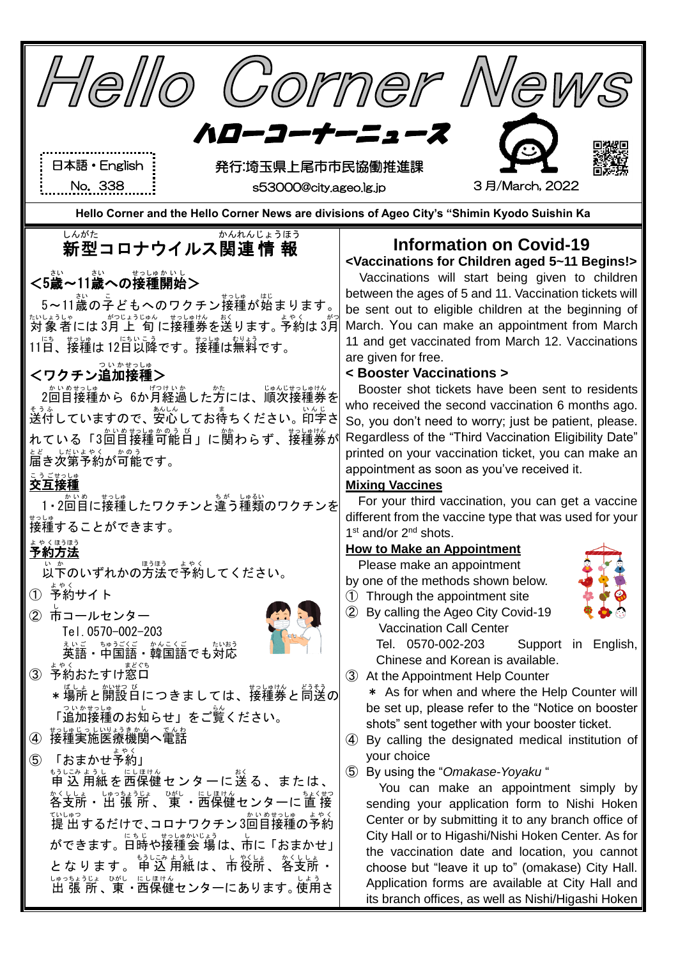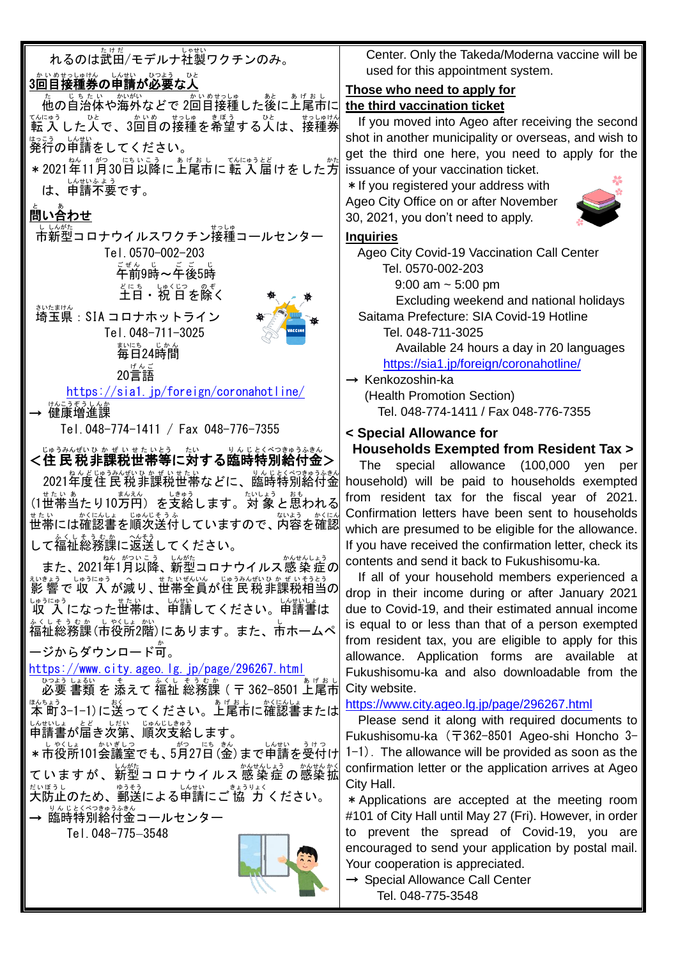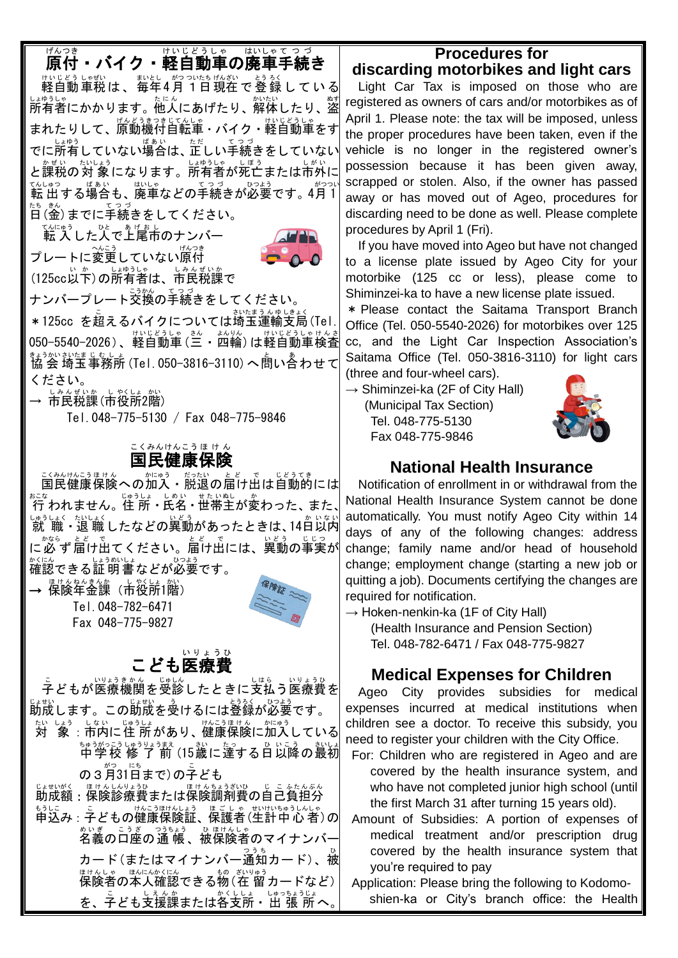# <sub>版です。</sub><br>原付・バイク・軽自動車の廃車手続き

サトヒどうヒャ゙ルい ホッシュヒ がのかた じょう している 」。。。<br>所有者にかかります。他人にあげたり、解体したり、盜 まれたりして、<sup>『んどうきつきじてんしゃ</sup><br>まれたりして、原動機付自転車・バイク・軽自動車をす でに所有していない場合は、正しい手続きをしていない と課税の対象になります。所有者が死亡または市外に てんぱっていまい。<br>転 出する場合も、廃車などの手続きが必要です。4月1 日 たち (金 きん )までに手続き てつづ をしてください。

てんにゅう<br>転 入した人で上尾市のナンバー プレートに変更していない<sup>脱っき</sup> (125cc以下)の所有者は、市民税課で



ナンバープレート交換 こうかん の手続き てつづ をしてください。

\* 125cc を超えるバイクについては埼玉運輸支局(Tel. 050−5540−2026)、軽自動車 (三・ 四輪) は軽自動車検査 まぅかいホルなましょ。<br>協 会 埼玉事務所 (Tel. 050−3816−3110) へ問い合わせて ください。

→ 市民税課(市役所2階)

Tel.048-775-5130 / Fax 048-775-9846

#### 国民 健康 保険 こくみん けんこう ほ け ん

ご秘比記張はん が<u>はう、だがい。とど、で、じどうてき</u><br>国民健康保険への加入・脱退の届け出は自動的には  $\hat{r}_{\alpha}^{z,z}$ われません。住所:氏名・世帯主が変わった、また、 しゅうしょく たいしょく<br>「就 職・退 職 したなどの異動があったときは、14日以内 に必ず 届け出てください。届け出には、異動の事実が 確認 かくにん できる証明書 しょうめいしょ などが必要 ひつよう です。

→ 保険年金課(市役所1階) Tel.048-782-6471 Fax 048-775-9827



### こども医療 いりょうひ

こ<br>子どもが医療機関を受診したときに支払う医療費を <sub>じょせい</sub><br>助成します。この助成を受けるには登録が必要です。 ホ、ヒょぅ、はおしょう。 (\*^ニうほけん | ゕ゙゙゚゚゚゠ぅゔ<br>対 象 : 市内に住 所があり、健康保険に加入している 中学校 ちゅうがっこう 修 了 前 しゅうりょうまえ (15歳 さい に達する た っ 日 ひ 以降 いこう の最初 さいしょ の 3 月31日まで) の子ども じょせいく、ほけんちょうざいひゃく こうたんぶん しょせいがく はじんしゅりょう しょうしゅう こうたんぶん もうに。<br>申込み : 子どもの健康保険証、保護者(生計中心者)の 名義 めいぎ の口座 こうざ の通 帳 つうちょう 、被 ひ 保険者 ほけんしゃ のマイナンバー <u>カード(またはマイナンバー通知カード)、被</u> <sub>ほけんしゃ ほんにんかくにん</sub><br>保険者の本人確認できる物(在 留カードなど)│ を、子ども支援課または各支所・出 張 所へ。

# **Procedures for**

**discarding motorbikes and light cars** Light Car Tax is imposed on those who are registered as owners of cars and/or motorbikes as of April 1. Please note: the tax will be imposed, unless the proper procedures have been taken, even if the vehicle is no longer in the registered owner's possession because it has been given away, scrapped or stolen. Also, if the owner has passed away or has moved out of Ageo, procedures for discarding need to be done as well. Please complete procedures by April 1 (Fri).

If you have moved into Ageo but have not changed to a license plate issued by Ageo City for your motorbike (125 cc or less), please come to Shiminzei-ka to have a new license plate issued.

\* Please contact the Saitama Transport Branch Office (Tel. 050-5540-2026) for motorbikes over 125 cc, and the Light Car Inspection Association's Saitama Office (Tel. 050-3816-3110) for light cars (three and four-wheel cars).

 $\rightarrow$  Shiminzei-ka (2F of City Hall) (Municipal Tax Section) Tel. 048-775-5130 Fax 048-775-9846



### **National Health Insurance**

Notification of enrollment in or withdrawal from the National Health Insurance System cannot be done automatically. You must notify Ageo City within 14 days of any of the following changes: address change; family name and/or head of household change; employment change (starting a new job or quitting a job). Documents certifying the changes are required for notification.

 $\rightarrow$  Hoken-nenkin-ka (1F of City Hall) (Health Insurance and Pension Section) Tel. 048-782-6471 / Fax 048-775-9827

## **Medical Expenses for Children**

Ageo City provides subsidies for medical expenses incurred at medical institutions when children see a doctor. To receive this subsidy, you need to register your children with the City Office.

- For: Children who are registered in Ageo and are covered by the health insurance system, and who have not completed junior high school (until the first March 31 after turning 15 years old).
- Amount of Subsidies: A portion of expenses of medical treatment and/or prescription drug covered by the health insurance system that you're required to pay

Application: Please bring the following to Kodomoshien-ka or City's branch office: the Health